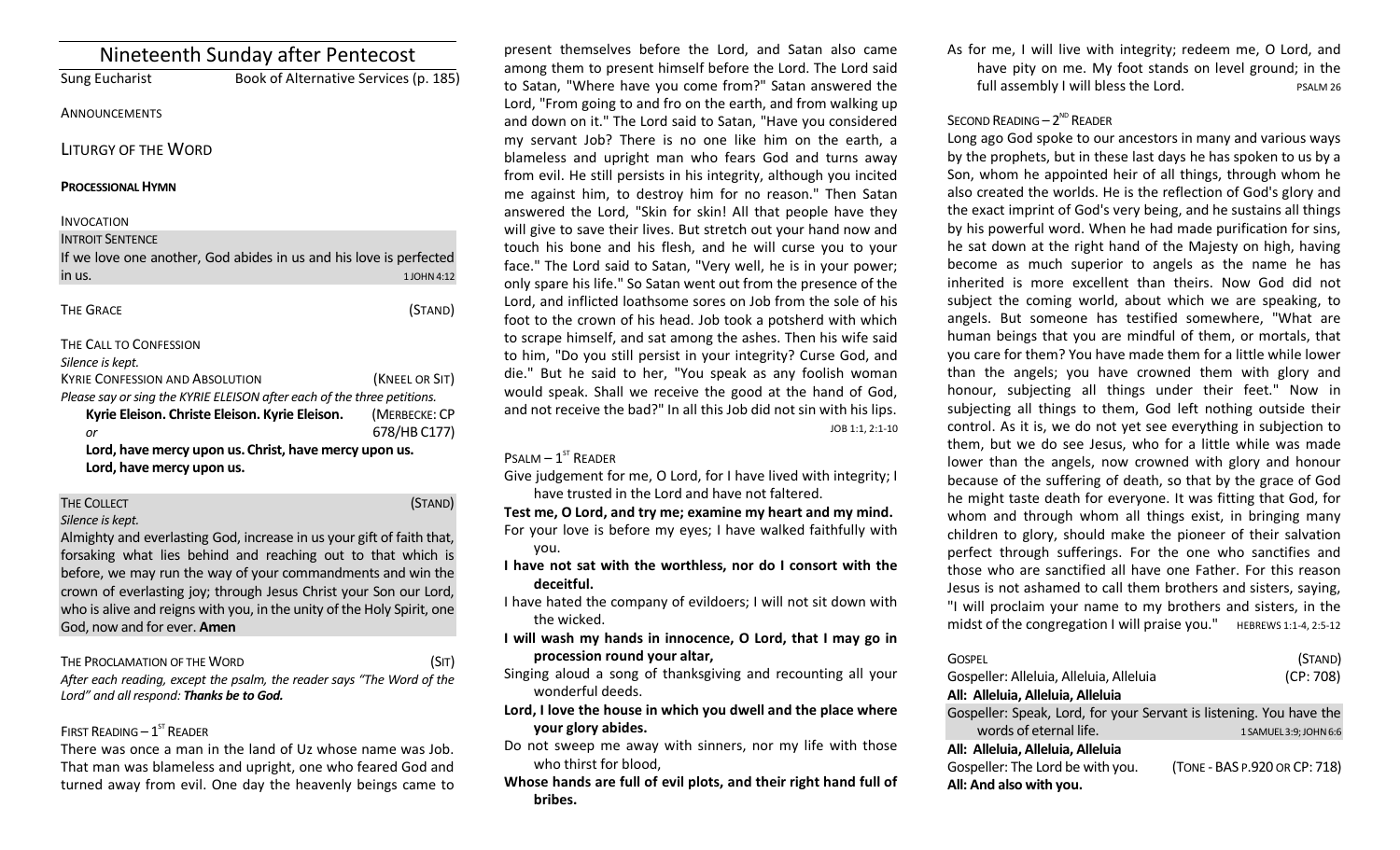| Nineteenth Sunday after Pentecost                                       |                                       |
|-------------------------------------------------------------------------|---------------------------------------|
| Sung Eucharist                                                          | Book of Alternative Services (p. 185) |
| <b>ANNOUNCEMENTS</b>                                                    |                                       |
| LITURGY OF THE WORD                                                     |                                       |
| <b>PROCESSIONAL HYMN</b>                                                |                                       |
| <b>INVOCATION</b>                                                       |                                       |
| <b>INTROIT SENTENCE</b>                                                 |                                       |
| If we love one another, God abides in us and his love is perfected      |                                       |
| in us.                                                                  | 1 JOHN 4:12                           |
|                                                                         |                                       |
| <b>THE GRACE</b>                                                        | (STAND)                               |
| THE CALL TO CONFESSION                                                  |                                       |
| Silence is kept.                                                        |                                       |
| <b>KYRIE CONFESSION AND ABSOLUTION</b>                                  | (KNEEL OR SIT)                        |
| Please say or sing the KYRIE ELEISON after each of the three petitions. |                                       |
| Kyrie Eleison. Christe Eleison. Kyrie Eleison.                          | (MERBECKE: CP                         |
| or                                                                      | 678/HB C177)                          |
| Lord, have mercy upon us. Christ, have mercy upon us.                   |                                       |
|                                                                         |                                       |

#### THE COLLECT **THE COLLECT COLLECT COLLECT COLLECT COLLECT COLLECT COLLECT COLLECT COLLECT COLLECT** *Silence is kept.*

Almighty and everlasting God, increase in us your gift of faith that, forsaking what lies behind and reaching out to that which is before, we may run the way of your commandments and win the crown of everlasting joy; through Jesus Christ your Son our Lord, who is alive and reigns with you, in the unity of the Holy Spirit, one God, now and for ever. **Amen**

## THE PROCLAMATION OF THE WORD (SIT)

*After each reading, except the psalm, the reader says "The Word of the Lord" and all respond: Thanks be to God.* 

## FIRST READING  $-1^\text{ST}$  READER

There was once a man in the land of Uz whose name was Job. That man was blameless and upright, one who feared God and turned away from evil. One day the heavenly beings came to

present themselves before the Lord, and Satan also came among them to present himself before the Lord. The Lord said to Satan, "Where have you come from?" Satan answered the Lord, "From going to and fro on the earth, and from walking up and down on it." The Lord said to Satan, "Have you considered my servant Job? There is no one like him on the earth, a blameless and upright man who fears God and turns away from evil. He still persists in his integrity, although you incited me against him, to destroy him for no reason." Then Satan answered the Lord, "Skin for skin! All that people have they will give to save their lives. But stretch out your hand now and touch his bone and his flesh, and he will curse you to your face." The Lord said to Satan, "Very well, he is in your power; only spare his life." So Satan went out from the presence of the Lord, and inflicted loathsome sores on Job from the sole of his foot to the crown of his head. Job took a potsherd with which to scrape himself, and sat among the ashes. Then his wife said to him, "Do you still persist in your integrity? Curse God, and die." But he said to her, "You speak as any foolish woman would speak. Shall we receive the good at the hand of God, and not receive the bad?" In all this Job did not sin with his lips. JOB 1:1, 2:1-10

## $P$ SALM  $-1$ <sup>ST</sup> READER

Give judgement for me, O Lord, for I have lived with integrity; I have trusted in the Lord and have not faltered.

**Test me, O Lord, and try me; examine my heart and my mind.** For your love is before my eyes; I have walked faithfully with you.

**I have not sat with the worthless, nor do I consort with the deceitful.**

I have hated the company of evildoers; I will not sit down with the wicked.

**I will wash my hands in innocence, O Lord, that I may go in procession round your altar,**

Singing aloud a song of thanksgiving and recounting all your wonderful deeds.

**Lord, I love the house in which you dwell and the place where your glory abides.**

Do not sweep me away with sinners, nor my life with those who thirst for blood,

**Whose hands are full of evil plots, and their right hand full of bribes.**

As for me, I will live with integrity; redeem me, O Lord, and have pity on me. My foot stands on level ground; in the full assembly I will bless the Lord. The PSALM 26

# SECOND READING  $-2^{ND}$  READER

Long ago God spoke to our ancestors in many and various ways by the prophets, but in these last days he has spoken to us by a Son, whom he appointed heir of all things, through whom he also created the worlds. He is the reflection of God's glory and the exact imprint of God's very being, and he sustains all things by his powerful word. When he had made purification for sins, he sat down at the right hand of the Majesty on high, having become as much superior to angels as the name he has inherited is more excellent than theirs. Now God did not subject the coming world, about which we are speaking, to angels. But someone has testified somewhere, "What are human beings that you are mindful of them, or mortals, that you care for them? You have made them for a little while lower than the angels; you have crowned them with glory and honour, subjecting all things under their feet." Now in subjecting all things to them, God left nothing outside their control. As it is, we do not yet see everything in subjection to them, but we do see Jesus, who for a little while was made lower than the angels, now crowned with glory and honour because of the suffering of death, so that by the grace of God he might taste death for everyone. It was fitting that God, for whom and through whom all things exist, in bringing many children to glory, should make the pioneer of their salvation perfect through sufferings. For the one who sanctifies and those who are sanctified all have one Father. For this reason Jesus is not ashamed to call them brothers and sisters, saying, "I will proclaim your name to my brothers and sisters, in the midst of the congregation I will praise you."  $HEBREWS 1:1-4, 2:5-12$ 

| GOSPEL                                                              | (STAND)                       |
|---------------------------------------------------------------------|-------------------------------|
| Gospeller: Alleluia, Alleluia, Alleluia                             | (CP: 708)                     |
| All: Alleluia, Alleluia, Alleluia                                   |                               |
| Gospeller: Speak, Lord, for your Servant is listening. You have the |                               |
| words of eternal life.                                              | 1 SAMUEL 3:9; JOHN 6:6        |
| All: Alleluia, Alleluia, Alleluia                                   |                               |
| Gospeller: The Lord be with you.                                    | (TONE - BAS P.920 OR CP: 718) |
| All: And also with you.                                             |                               |